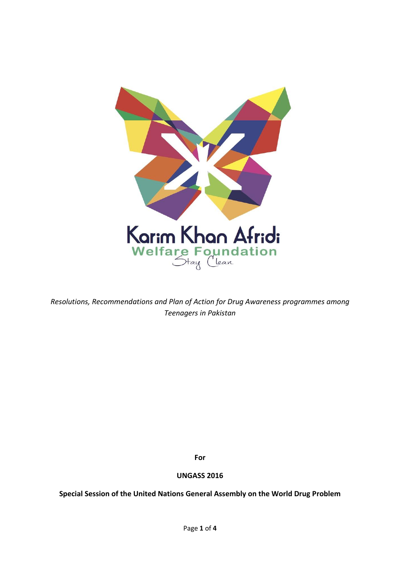

*Resolutions, Recommendations and Plan of Action for Drug Awareness programmes among Teenagers in Pakistan*

**For**

#### **UNGASS 2016**

**Special Session of the United Nations General Assembly on the World Drug Problem**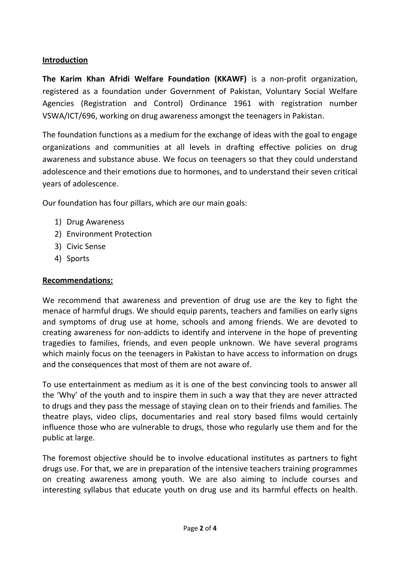# **Introduction**

**The Karim Khan Afridi Welfare Foundation (KKAWF)** is a non-profit organization, registered as a foundation under Government of Pakistan, Voluntary Social Welfare Agencies (Registration and Control) Ordinance 1961 with registration number VSWA/ICT/696, working on drug awareness amongst the teenagers in Pakistan.

The foundation functions as a medium for the exchange of ideas with the goal to engage organizations and communities at all levels in drafting effective policies on drug awareness and substance abuse. We focus on teenagers so that they could understand adolescence and their emotions due to hormones, and to understand their seven critical years of adolescence.

Our foundation has four pillars, which are our main goals:

- 1) Drug Awareness
- 2) Environment Protection
- 3) Civic Sense
- 4) Sports

## **Recommendations:**

We recommend that awareness and prevention of drug use are the key to fight the menace of harmful drugs. We should equip parents, teachers and families on early signs and symptoms of drug use at home, schools and among friends. We are devoted to creating awareness for non-addicts to identify and intervene in the hope of preventing tragedies to families, friends, and even people unknown. We have several programs which mainly focus on the teenagers in Pakistan to have access to information on drugs and the consequences that most of them are not aware of.

To use entertainment as medium as it is one of the best convincing tools to answer all the 'Why' of the youth and to inspire them in such a way that they are never attracted to drugs and they pass the message of staying clean on to their friends and families. The theatre plays, video clips, documentaries and real story based films would certainly influence those who are vulnerable to drugs, those who regularly use them and for the public at large.

The foremost objective should be to involve educational institutes as partners to fight drugs use. For that, we are in preparation of the intensive teachers training programmes on creating awareness among youth. We are also aiming to include courses and interesting syllabus that educate youth on drug use and its harmful effects on health.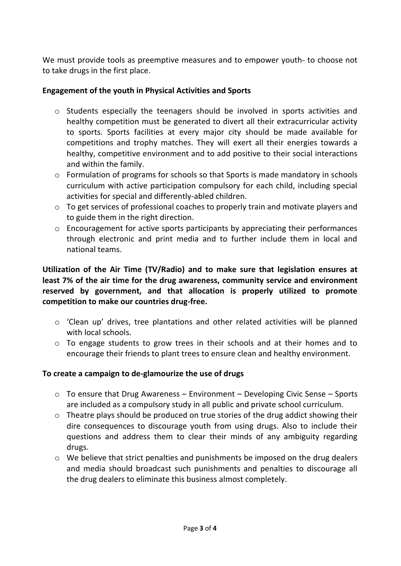We must provide tools as preemptive measures and to empower youth- to choose not to take drugs in the first place.

# **Engagement of the youth in Physical Activities and Sports**

- o Students especially the teenagers should be involved in sports activities and healthy competition must be generated to divert all their extracurricular activity to sports. Sports facilities at every major city should be made available for competitions and trophy matches. They will exert all their energies towards a healthy, competitive environment and to add positive to their social interactions and within the family.
- $\circ$  Formulation of programs for schools so that Sports is made mandatory in schools curriculum with active participation compulsory for each child, including special activities for special and differently-abled children.
- o To get services of professional coaches to properly train and motivate players and to guide them in the right direction.
- o Encouragement for active sports participants by appreciating their performances through electronic and print media and to further include them in local and national teams.

**Utilization of the Air Time (TV/Radio) and to make sure that legislation ensures at least 7% of the air time for the drug awareness, community service and environment reserved by government, and that allocation is properly utilized to promote competition to make our countries drug-free.** 

- o 'Clean up' drives, tree plantations and other related activities will be planned with local schools.
- $\circ$  To engage students to grow trees in their schools and at their homes and to encourage their friends to plant trees to ensure clean and healthy environment.

## **To create a campaign to de-glamourize the use of drugs**

- $\circ$  To ensure that Drug Awareness Environment Developing Civic Sense Sports are included as a compulsory study in all public and private school curriculum.
- o Theatre plays should be produced on true stories of the drug addict showing their dire consequences to discourage youth from using drugs. Also to include their questions and address them to clear their minds of any ambiguity regarding drugs.
- o We believe that strict penalties and punishments be imposed on the drug dealers and media should broadcast such punishments and penalties to discourage all the drug dealers to eliminate this business almost completely.